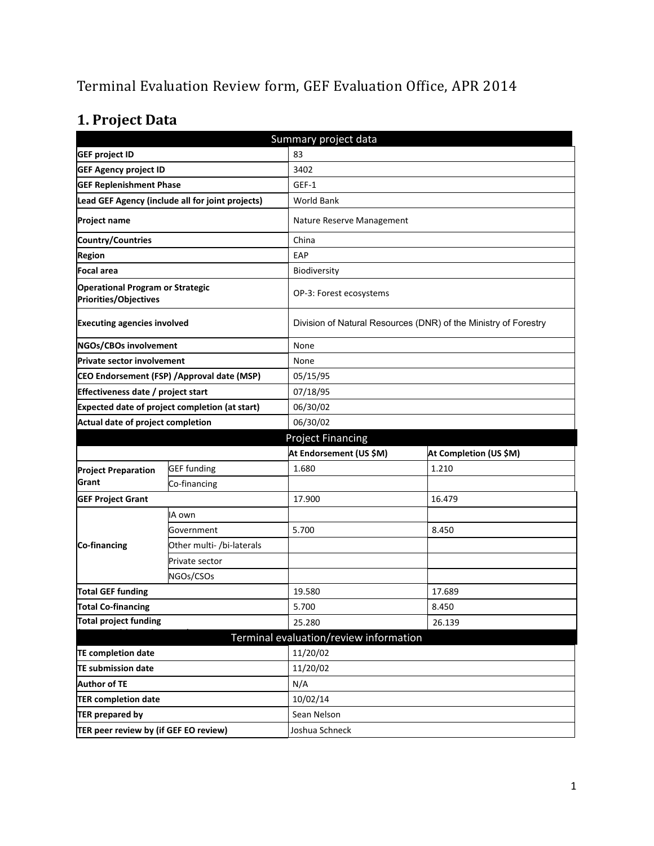# Terminal Evaluation Review form, GEF Evaluation Office, APR 2014

# **1. Project Data**

| Summary project data                                             |                                                  |                                        |                                                                 |  |  |
|------------------------------------------------------------------|--------------------------------------------------|----------------------------------------|-----------------------------------------------------------------|--|--|
| <b>GEF project ID</b>                                            |                                                  | 83                                     |                                                                 |  |  |
| <b>GEF Agency project ID</b>                                     |                                                  | 3402                                   |                                                                 |  |  |
| <b>GEF Replenishment Phase</b>                                   |                                                  | GEF-1                                  |                                                                 |  |  |
|                                                                  | Lead GEF Agency (include all for joint projects) | <b>World Bank</b>                      |                                                                 |  |  |
| <b>Project name</b>                                              |                                                  | Nature Reserve Management              |                                                                 |  |  |
| Country/Countries                                                |                                                  | China                                  |                                                                 |  |  |
| <b>Region</b>                                                    |                                                  | EAP                                    |                                                                 |  |  |
| Focal area                                                       |                                                  | Biodiversity                           |                                                                 |  |  |
| <b>Operational Program or Strategic</b><br>Priorities/Objectives |                                                  | OP-3: Forest ecosystems                |                                                                 |  |  |
| <b>Executing agencies involved</b>                               |                                                  |                                        | Division of Natural Resources (DNR) of the Ministry of Forestry |  |  |
| NGOs/CBOs involvement                                            |                                                  | None                                   |                                                                 |  |  |
| Private sector involvement                                       |                                                  | None                                   |                                                                 |  |  |
| CEO Endorsement (FSP) / Approval date (MSP)                      |                                                  | 05/15/95                               |                                                                 |  |  |
| Effectiveness date / project start                               |                                                  | 07/18/95                               |                                                                 |  |  |
| Expected date of project completion (at start)                   |                                                  | 06/30/02                               |                                                                 |  |  |
| Actual date of project completion                                |                                                  | 06/30/02                               |                                                                 |  |  |
|                                                                  |                                                  | <b>Project Financing</b>               |                                                                 |  |  |
|                                                                  |                                                  | At Endorsement (US \$M)                | At Completion (US \$M)                                          |  |  |
| <b>Project Preparation</b>                                       | <b>GEF</b> funding                               | 1.680                                  | 1.210                                                           |  |  |
| Grant                                                            | Co-financing                                     |                                        |                                                                 |  |  |
| <b>GEF Project Grant</b>                                         |                                                  | 17.900                                 | 16.479                                                          |  |  |
|                                                                  | IA own                                           |                                        |                                                                 |  |  |
|                                                                  | Government                                       | 5.700                                  | 8.450                                                           |  |  |
| <b>Co-financing</b>                                              | Other multi- /bi-laterals                        |                                        |                                                                 |  |  |
|                                                                  | Private sector                                   |                                        |                                                                 |  |  |
|                                                                  | NGOs/CSOs                                        |                                        |                                                                 |  |  |
| <b>Total GEF funding</b>                                         |                                                  | 19.580                                 | 17.689                                                          |  |  |
| Total Co-financing                                               |                                                  | 5.700                                  | 8.450                                                           |  |  |
| <b>Total project funding</b>                                     |                                                  | 25.280                                 | 26.139                                                          |  |  |
|                                                                  |                                                  | Terminal evaluation/review information |                                                                 |  |  |
| <b>TE completion date</b>                                        |                                                  | 11/20/02                               |                                                                 |  |  |
| <b>TE submission date</b>                                        |                                                  | 11/20/02                               |                                                                 |  |  |
| <b>Author of TE</b>                                              |                                                  | N/A                                    |                                                                 |  |  |
| <b>TER completion date</b>                                       |                                                  | 10/02/14                               |                                                                 |  |  |
| <b>TER prepared by</b>                                           |                                                  | Sean Nelson                            |                                                                 |  |  |
| TER peer review by (if GEF EO review)                            |                                                  | Joshua Schneck                         |                                                                 |  |  |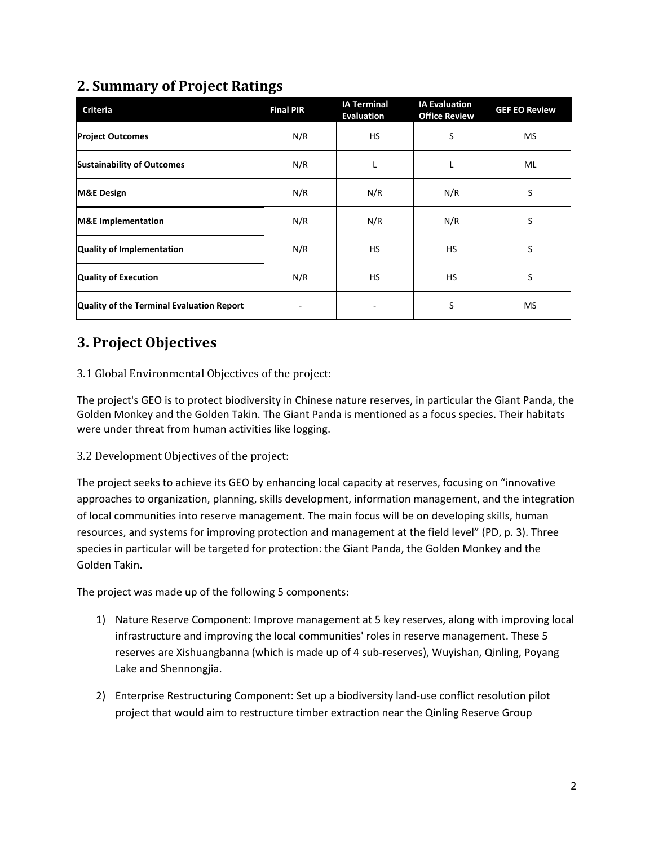## **2. Summary of Project Ratings**

| <b>Criteria</b>                           | <b>Final PIR</b> | <b>IA Terminal</b><br><b>Evaluation</b> | <b>IA Evaluation</b><br><b>Office Review</b> | <b>GEF EO Review</b> |
|-------------------------------------------|------------------|-----------------------------------------|----------------------------------------------|----------------------|
| <b>Project Outcomes</b>                   | N/R              | <b>HS</b>                               | S                                            | <b>MS</b>            |
| <b>Sustainability of Outcomes</b>         | N/R              |                                         |                                              | ML                   |
| <b>M&amp;E Design</b>                     | N/R              | N/R                                     | N/R                                          | S                    |
| <b>M&amp;E</b> Implementation             | N/R              | N/R                                     | N/R                                          | S                    |
| <b>Quality of Implementation</b>          | N/R              | <b>HS</b>                               | <b>HS</b>                                    | S                    |
| <b>Quality of Execution</b>               | N/R              | <b>HS</b>                               | <b>HS</b>                                    | S                    |
| Quality of the Terminal Evaluation Report |                  |                                         | S                                            | <b>MS</b>            |

## **3. Project Objectives**

### 3.1 Global Environmental Objectives of the project:

The project's GEO is to protect biodiversity in Chinese nature reserves, in particular the Giant Panda, the Golden Monkey and the Golden Takin. The Giant Panda is mentioned as a focus species. Their habitats were under threat from human activities like logging.

3.2 Development Objectives of the project:

The project seeks to achieve its GEO by enhancing local capacity at reserves, focusing on "innovative approaches to organization, planning, skills development, information management, and the integration of local communities into reserve management. The main focus will be on developing skills, human resources, and systems for improving protection and management at the field level" (PD, p. 3). Three species in particular will be targeted for protection: the Giant Panda, the Golden Monkey and the Golden Takin.

The project was made up of the following 5 components:

- 1) Nature Reserve Component: Improve management at 5 key reserves, along with improving local infrastructure and improving the local communities' roles in reserve management. These 5 reserves are Xishuangbanna (which is made up of 4 sub-reserves), Wuyishan, Qinling, Poyang Lake and Shennongjia.
- 2) Enterprise Restructuring Component: Set up a biodiversity land-use conflict resolution pilot project that would aim to restructure timber extraction near the Qinling Reserve Group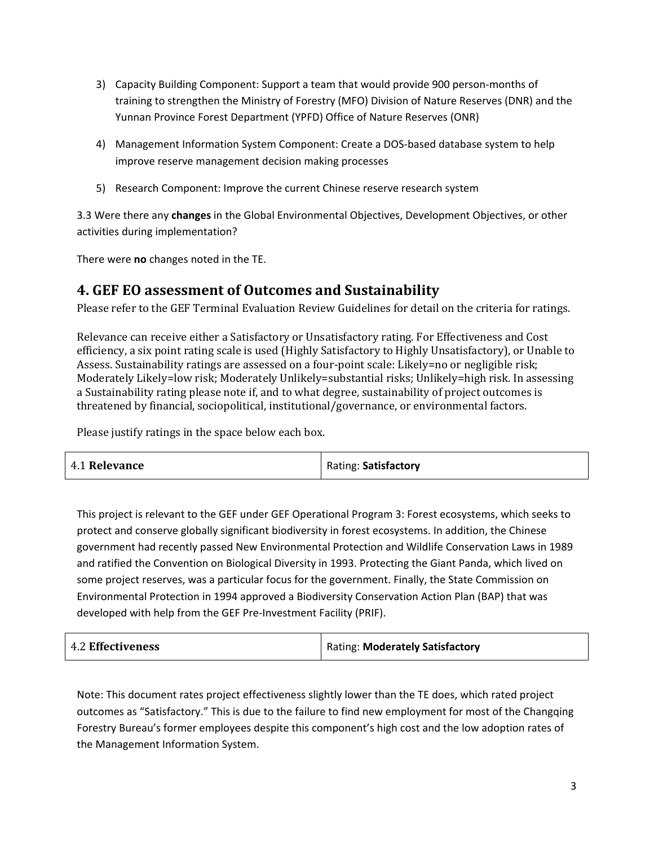- 3) Capacity Building Component: Support a team that would provide 900 person-months of training to strengthen the Ministry of Forestry (MFO) Division of Nature Reserves (DNR) and the Yunnan Province Forest Department (YPFD) Office of Nature Reserves (ONR)
- 4) Management Information System Component: Create a DOS-based database system to help improve reserve management decision making processes
- 5) Research Component: Improve the current Chinese reserve research system

3.3 Were there any **changes** in the Global Environmental Objectives, Development Objectives, or other activities during implementation?

There were **no** changes noted in the TE.

### **4. GEF EO assessment of Outcomes and Sustainability**

Please refer to the GEF Terminal Evaluation Review Guidelines for detail on the criteria for ratings.

Relevance can receive either a Satisfactory or Unsatisfactory rating. For Effectiveness and Cost efficiency, a six point rating scale is used (Highly Satisfactory to Highly Unsatisfactory), or Unable to Assess. Sustainability ratings are assessed on a four-point scale: Likely=no or negligible risk; Moderately Likely=low risk; Moderately Unlikely=substantial risks; Unlikely=high risk. In assessing a Sustainability rating please note if, and to what degree, sustainability of project outcomes is threatened by financial, sociopolitical, institutional/governance, or environmental factors.

Please justify ratings in the space below each box.

| 4.1 Relevance | Rating: Satisfactory |
|---------------|----------------------|
|---------------|----------------------|

This project is relevant to the GEF under GEF Operational Program 3: Forest ecosystems, which seeks to protect and conserve globally significant biodiversity in forest ecosystems. In addition, the Chinese government had recently passed New Environmental Protection and Wildlife Conservation Laws in 1989 and ratified the Convention on Biological Diversity in 1993. Protecting the Giant Panda, which lived on some project reserves, was a particular focus for the government. Finally, the State Commission on Environmental Protection in 1994 approved a Biodiversity Conservation Action Plan (BAP) that was developed with help from the GEF Pre-Investment Facility (PRIF).

Note: This document rates project effectiveness slightly lower than the TE does, which rated project outcomes as "Satisfactory." This is due to the failure to find new employment for most of the Changqing Forestry Bureau's former employees despite this component's high cost and the low adoption rates of the Management Information System.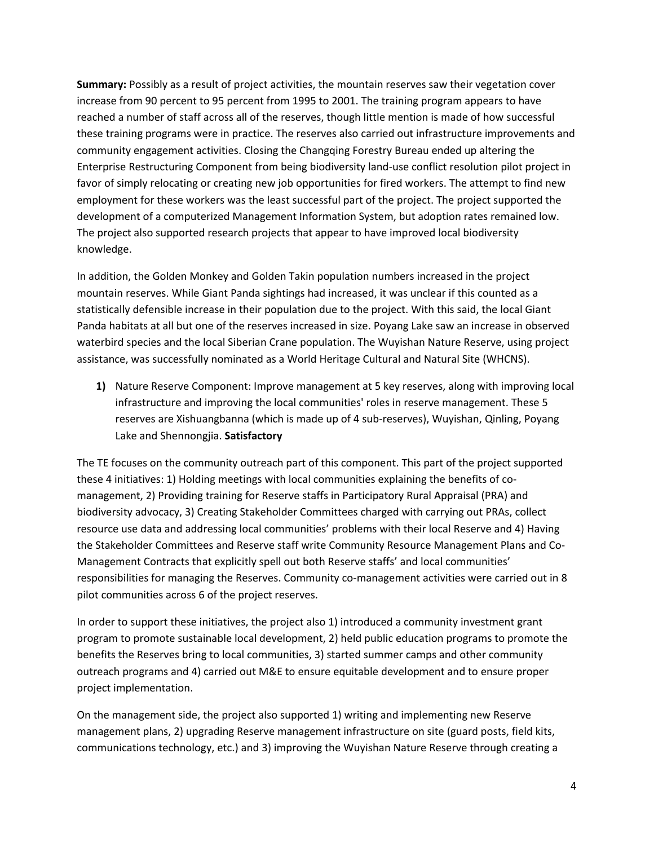**Summary:** Possibly as a result of project activities, the mountain reserves saw their vegetation cover increase from 90 percent to 95 percent from 1995 to 2001. The training program appears to have reached a number of staff across all of the reserves, though little mention is made of how successful these training programs were in practice. The reserves also carried out infrastructure improvements and community engagement activities. Closing the Changqing Forestry Bureau ended up altering the Enterprise Restructuring Component from being biodiversity land-use conflict resolution pilot project in favor of simply relocating or creating new job opportunities for fired workers. The attempt to find new employment for these workers was the least successful part of the project. The project supported the development of a computerized Management Information System, but adoption rates remained low. The project also supported research projects that appear to have improved local biodiversity knowledge.

In addition, the Golden Monkey and Golden Takin population numbers increased in the project mountain reserves. While Giant Panda sightings had increased, it was unclear if this counted as a statistically defensible increase in their population due to the project. With this said, the local Giant Panda habitats at all but one of the reserves increased in size. Poyang Lake saw an increase in observed waterbird species and the local Siberian Crane population. The Wuyishan Nature Reserve, using project assistance, was successfully nominated as a World Heritage Cultural and Natural Site (WHCNS).

**1)** Nature Reserve Component: Improve management at 5 key reserves, along with improving local infrastructure and improving the local communities' roles in reserve management. These 5 reserves are Xishuangbanna (which is made up of 4 sub-reserves), Wuyishan, Qinling, Poyang Lake and Shennongjia. **Satisfactory**

The TE focuses on the community outreach part of this component. This part of the project supported these 4 initiatives: 1) Holding meetings with local communities explaining the benefits of comanagement, 2) Providing training for Reserve staffs in Participatory Rural Appraisal (PRA) and biodiversity advocacy, 3) Creating Stakeholder Committees charged with carrying out PRAs, collect resource use data and addressing local communities' problems with their local Reserve and 4) Having the Stakeholder Committees and Reserve staff write Community Resource Management Plans and Co-Management Contracts that explicitly spell out both Reserve staffs' and local communities' responsibilities for managing the Reserves. Community co-management activities were carried out in 8 pilot communities across 6 of the project reserves.

In order to support these initiatives, the project also 1) introduced a community investment grant program to promote sustainable local development, 2) held public education programs to promote the benefits the Reserves bring to local communities, 3) started summer camps and other community outreach programs and 4) carried out M&E to ensure equitable development and to ensure proper project implementation.

On the management side, the project also supported 1) writing and implementing new Reserve management plans, 2) upgrading Reserve management infrastructure on site (guard posts, field kits, communications technology, etc.) and 3) improving the Wuyishan Nature Reserve through creating a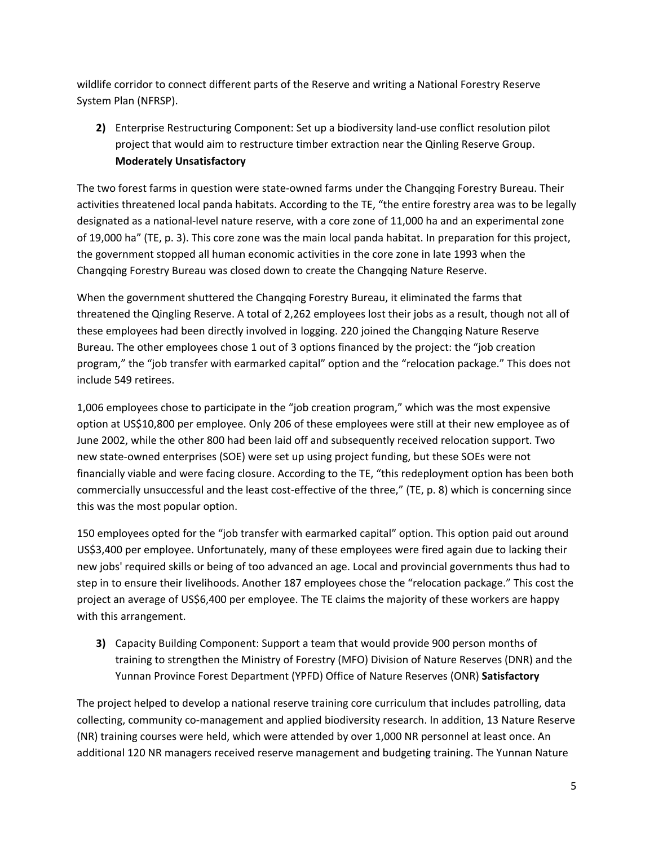wildlife corridor to connect different parts of the Reserve and writing a National Forestry Reserve System Plan (NFRSP).

**2)** Enterprise Restructuring Component: Set up a biodiversity land-use conflict resolution pilot project that would aim to restructure timber extraction near the Qinling Reserve Group. **Moderately Unsatisfactory**

The two forest farms in question were state-owned farms under the Changqing Forestry Bureau. Their activities threatened local panda habitats. According to the TE, "the entire forestry area was to be legally designated as a national-level nature reserve, with a core zone of 11,000 ha and an experimental zone of 19,000 ha" (TE, p. 3). This core zone was the main local panda habitat. In preparation for this project, the government stopped all human economic activities in the core zone in late 1993 when the Changqing Forestry Bureau was closed down to create the Changqing Nature Reserve.

When the government shuttered the Changqing Forestry Bureau, it eliminated the farms that threatened the Qingling Reserve. A total of 2,262 employees lost their jobs as a result, though not all of these employees had been directly involved in logging. 220 joined the Changqing Nature Reserve Bureau. The other employees chose 1 out of 3 options financed by the project: the "job creation program," the "job transfer with earmarked capital" option and the "relocation package." This does not include 549 retirees.

1,006 employees chose to participate in the "job creation program," which was the most expensive option at US\$10,800 per employee. Only 206 of these employees were still at their new employee as of June 2002, while the other 800 had been laid off and subsequently received relocation support. Two new state-owned enterprises (SOE) were set up using project funding, but these SOEs were not financially viable and were facing closure. According to the TE, "this redeployment option has been both commercially unsuccessful and the least cost-effective of the three," (TE, p. 8) which is concerning since this was the most popular option.

150 employees opted for the "job transfer with earmarked capital" option. This option paid out around US\$3,400 per employee. Unfortunately, many of these employees were fired again due to lacking their new jobs' required skills or being of too advanced an age. Local and provincial governments thus had to step in to ensure their livelihoods. Another 187 employees chose the "relocation package." This cost the project an average of US\$6,400 per employee. The TE claims the majority of these workers are happy with this arrangement.

**3)** Capacity Building Component: Support a team that would provide 900 person months of training to strengthen the Ministry of Forestry (MFO) Division of Nature Reserves (DNR) and the Yunnan Province Forest Department (YPFD) Office of Nature Reserves (ONR) **Satisfactory**

The project helped to develop a national reserve training core curriculum that includes patrolling, data collecting, community co-management and applied biodiversity research. In addition, 13 Nature Reserve (NR) training courses were held, which were attended by over 1,000 NR personnel at least once. An additional 120 NR managers received reserve management and budgeting training. The Yunnan Nature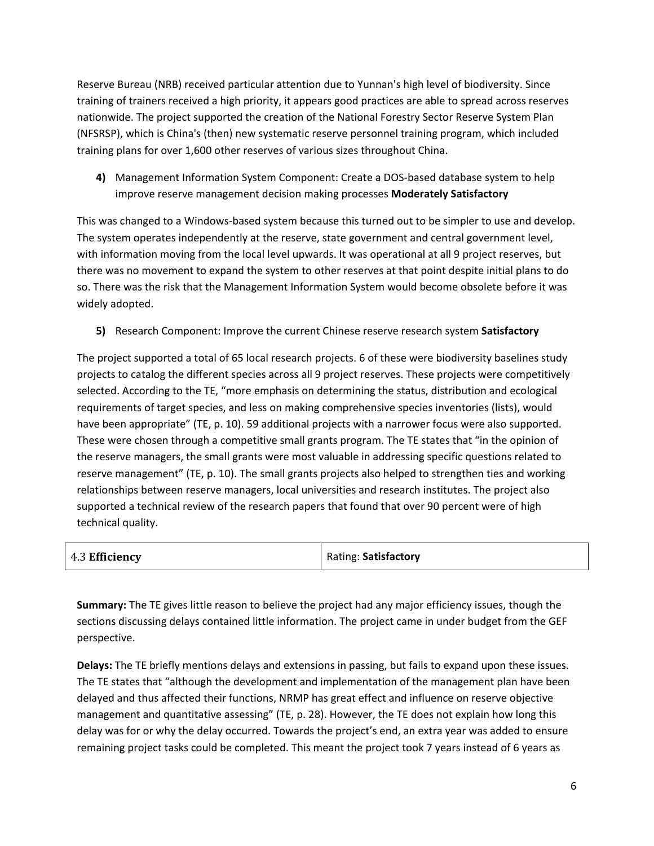Reserve Bureau (NRB) received particular attention due to Yunnan's high level of biodiversity. Since training of trainers received a high priority, it appears good practices are able to spread across reserves nationwide. The project supported the creation of the National Forestry Sector Reserve System Plan (NFSRSP), which is China's (then) new systematic reserve personnel training program, which included training plans for over 1,600 other reserves of various sizes throughout China.

**4)** Management Information System Component: Create a DOS-based database system to help improve reserve management decision making processes **Moderately Satisfactory**

This was changed to a Windows-based system because this turned out to be simpler to use and develop. The system operates independently at the reserve, state government and central government level, with information moving from the local level upwards. It was operational at all 9 project reserves, but there was no movement to expand the system to other reserves at that point despite initial plans to do so. There was the risk that the Management Information System would become obsolete before it was widely adopted.

**5)** Research Component: Improve the current Chinese reserve research system **Satisfactory**

The project supported a total of 65 local research projects. 6 of these were biodiversity baselines study projects to catalog the different species across all 9 project reserves. These projects were competitively selected. According to the TE, "more emphasis on determining the status, distribution and ecological requirements of target species, and less on making comprehensive species inventories (lists), would have been appropriate" (TE, p. 10). 59 additional projects with a narrower focus were also supported. These were chosen through a competitive small grants program. The TE states that "in the opinion of the reserve managers, the small grants were most valuable in addressing specific questions related to reserve management" (TE, p. 10). The small grants projects also helped to strengthen ties and working relationships between reserve managers, local universities and research institutes. The project also supported a technical review of the research papers that found that over 90 percent were of high technical quality.

| 4.3 Efficiency | Rating: Satisfactory |
|----------------|----------------------|
|                |                      |

**Summary:** The TE gives little reason to believe the project had any major efficiency issues, though the sections discussing delays contained little information. The project came in under budget from the GEF perspective.

**Delays:** The TE briefly mentions delays and extensions in passing, but fails to expand upon these issues. The TE states that "although the development and implementation of the management plan have been delayed and thus affected their functions, NRMP has great effect and influence on reserve objective management and quantitative assessing" (TE, p. 28). However, the TE does not explain how long this delay was for or why the delay occurred. Towards the project's end, an extra year was added to ensure remaining project tasks could be completed. This meant the project took 7 years instead of 6 years as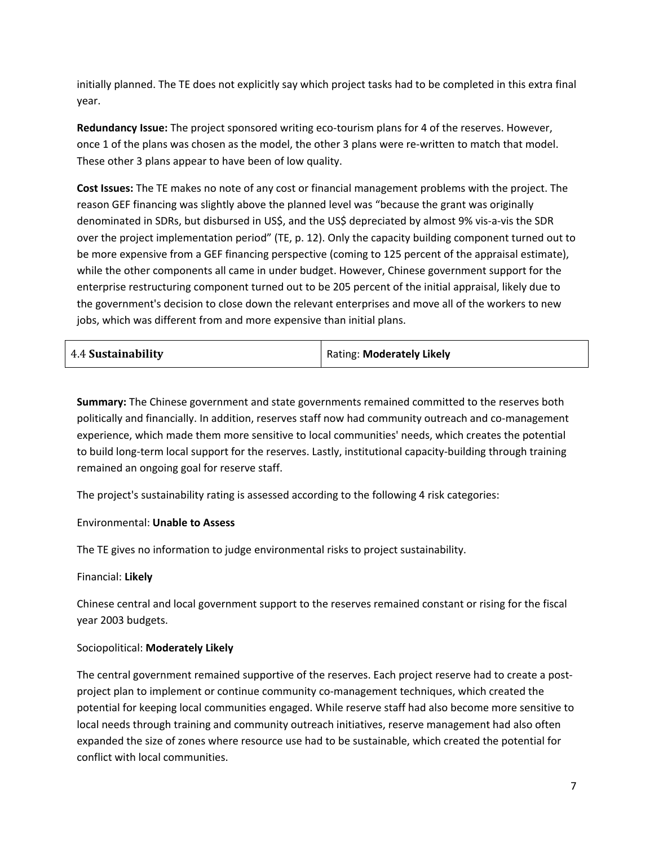initially planned. The TE does not explicitly say which project tasks had to be completed in this extra final year.

**Redundancy Issue:** The project sponsored writing eco-tourism plans for 4 of the reserves. However, once 1 of the plans was chosen as the model, the other 3 plans were re-written to match that model. These other 3 plans appear to have been of low quality.

**Cost Issues:** The TE makes no note of any cost or financial management problems with the project. The reason GEF financing was slightly above the planned level was "because the grant was originally denominated in SDRs, but disbursed in US\$, and the US\$ depreciated by almost 9% vis-a-vis the SDR over the project implementation period" (TE, p. 12). Only the capacity building component turned out to be more expensive from a GEF financing perspective (coming to 125 percent of the appraisal estimate), while the other components all came in under budget. However, Chinese government support for the enterprise restructuring component turned out to be 205 percent of the initial appraisal, likely due to the government's decision to close down the relevant enterprises and move all of the workers to new jobs, which was different from and more expensive than initial plans.

| Rating: Moderately Likely |
|---------------------------|
|                           |

**Summary:** The Chinese government and state governments remained committed to the reserves both politically and financially. In addition, reserves staff now had community outreach and co-management experience, which made them more sensitive to local communities' needs, which creates the potential to build long-term local support for the reserves. Lastly, institutional capacity-building through training remained an ongoing goal for reserve staff.

The project's sustainability rating is assessed according to the following 4 risk categories:

#### Environmental: **Unable to Assess**

The TE gives no information to judge environmental risks to project sustainability.

#### Financial: **Likely**

Chinese central and local government support to the reserves remained constant or rising for the fiscal year 2003 budgets.

#### Sociopolitical: **Moderately Likely**

The central government remained supportive of the reserves. Each project reserve had to create a postproject plan to implement or continue community co-management techniques, which created the potential for keeping local communities engaged. While reserve staff had also become more sensitive to local needs through training and community outreach initiatives, reserve management had also often expanded the size of zones where resource use had to be sustainable, which created the potential for conflict with local communities.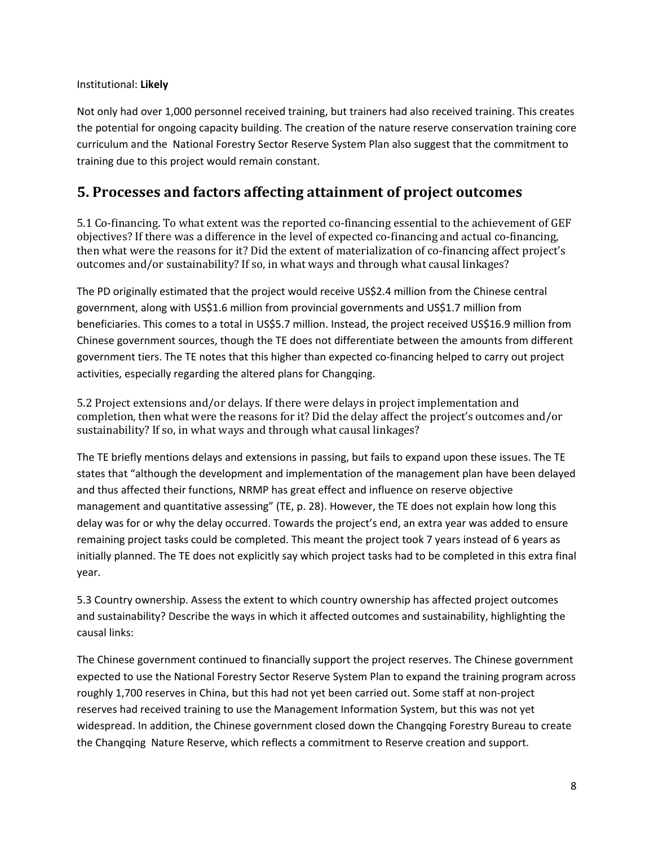### Institutional: **Likely**

Not only had over 1,000 personnel received training, but trainers had also received training. This creates the potential for ongoing capacity building. The creation of the nature reserve conservation training core curriculum and the National Forestry Sector Reserve System Plan also suggest that the commitment to training due to this project would remain constant.

### **5. Processes and factors affecting attainment of project outcomes**

5.1 Co-financing. To what extent was the reported co-financing essential to the achievement of GEF objectives? If there was a difference in the level of expected co-financing and actual co-financing, then what were the reasons for it? Did the extent of materialization of co-financing affect project's outcomes and/or sustainability? If so, in what ways and through what causal linkages?

The PD originally estimated that the project would receive US\$2.4 million from the Chinese central government, along with US\$1.6 million from provincial governments and US\$1.7 million from beneficiaries. This comes to a total in US\$5.7 million. Instead, the project received US\$16.9 million from Chinese government sources, though the TE does not differentiate between the amounts from different government tiers. The TE notes that this higher than expected co-financing helped to carry out project activities, especially regarding the altered plans for Changqing.

5.2 Project extensions and/or delays. If there were delays in project implementation and completion, then what were the reasons for it? Did the delay affect the project's outcomes and/or sustainability? If so, in what ways and through what causal linkages?

The TE briefly mentions delays and extensions in passing, but fails to expand upon these issues. The TE states that "although the development and implementation of the management plan have been delayed and thus affected their functions, NRMP has great effect and influence on reserve objective management and quantitative assessing" (TE, p. 28). However, the TE does not explain how long this delay was for or why the delay occurred. Towards the project's end, an extra year was added to ensure remaining project tasks could be completed. This meant the project took 7 years instead of 6 years as initially planned. The TE does not explicitly say which project tasks had to be completed in this extra final year.

5.3 Country ownership. Assess the extent to which country ownership has affected project outcomes and sustainability? Describe the ways in which it affected outcomes and sustainability, highlighting the causal links:

The Chinese government continued to financially support the project reserves. The Chinese government expected to use the National Forestry Sector Reserve System Plan to expand the training program across roughly 1,700 reserves in China, but this had not yet been carried out. Some staff at non-project reserves had received training to use the Management Information System, but this was not yet widespread. In addition, the Chinese government closed down the Changqing Forestry Bureau to create the Changqing Nature Reserve, which reflects a commitment to Reserve creation and support.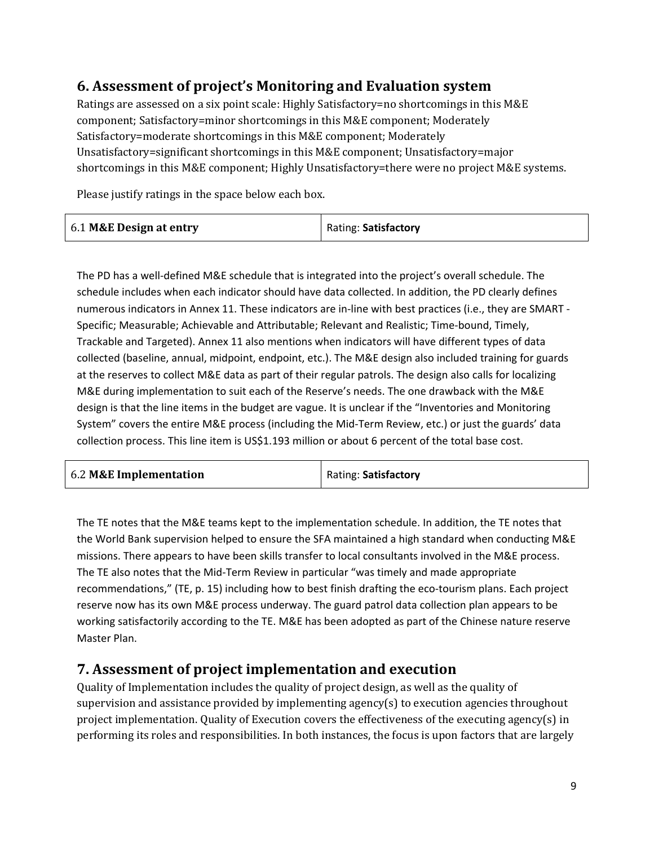## **6. Assessment of project's Monitoring and Evaluation system**

Ratings are assessed on a six point scale: Highly Satisfactory=no shortcomings in this M&E component; Satisfactory=minor shortcomings in this M&E component; Moderately Satisfactory=moderate shortcomings in this M&E component; Moderately Unsatisfactory=significant shortcomings in this M&E component; Unsatisfactory=major shortcomings in this M&E component; Highly Unsatisfactory=there were no project M&E systems.

Please justify ratings in the space below each box.

| 6.1 M&E Design at entry | Rating: Satisfactory |
|-------------------------|----------------------|
|-------------------------|----------------------|

The PD has a well-defined M&E schedule that is integrated into the project's overall schedule. The schedule includes when each indicator should have data collected. In addition, the PD clearly defines numerous indicators in Annex 11. These indicators are in-line with best practices (i.e., they are SMART - Specific; Measurable; Achievable and Attributable; Relevant and Realistic; Time-bound, Timely, Trackable and Targeted). Annex 11 also mentions when indicators will have different types of data collected (baseline, annual, midpoint, endpoint, etc.). The M&E design also included training for guards at the reserves to collect M&E data as part of their regular patrols. The design also calls for localizing M&E during implementation to suit each of the Reserve's needs. The one drawback with the M&E design is that the line items in the budget are vague. It is unclear if the "Inventories and Monitoring System" covers the entire M&E process (including the Mid-Term Review, etc.) or just the guards' data collection process. This line item is US\$1.193 million or about 6 percent of the total base cost.

| 6.2 M&E Implementation | Rating: Satisfactory |
|------------------------|----------------------|
|------------------------|----------------------|

The TE notes that the M&E teams kept to the implementation schedule. In addition, the TE notes that the World Bank supervision helped to ensure the SFA maintained a high standard when conducting M&E missions. There appears to have been skills transfer to local consultants involved in the M&E process. The TE also notes that the Mid-Term Review in particular "was timely and made appropriate recommendations," (TE, p. 15) including how to best finish drafting the eco-tourism plans. Each project reserve now has its own M&E process underway. The guard patrol data collection plan appears to be working satisfactorily according to the TE. M&E has been adopted as part of the Chinese nature reserve Master Plan.

### **7. Assessment of project implementation and execution**

Quality of Implementation includes the quality of project design, as well as the quality of supervision and assistance provided by implementing agency(s) to execution agencies throughout project implementation. Quality of Execution covers the effectiveness of the executing agency(s) in performing its roles and responsibilities. In both instances, the focus is upon factors that are largely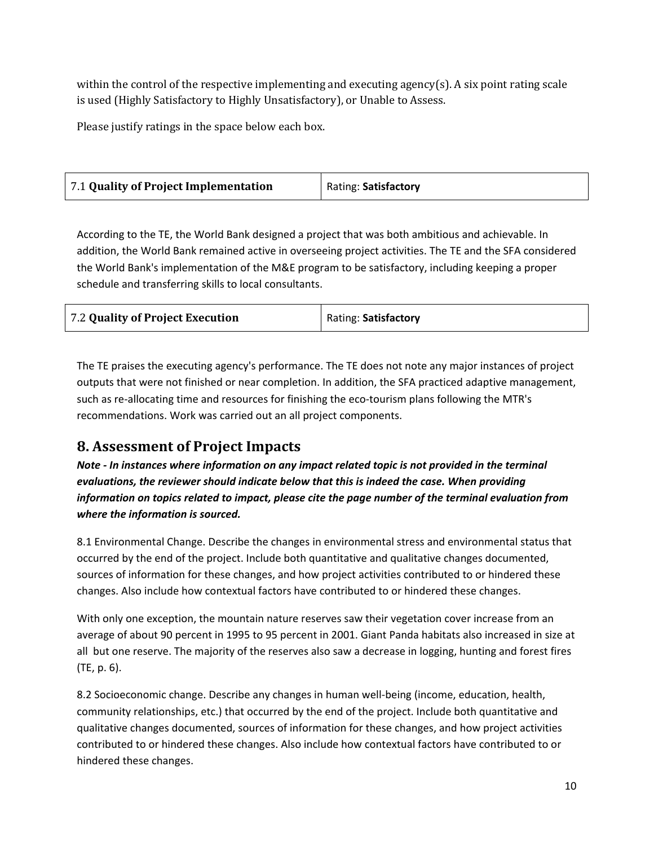within the control of the respective implementing and executing agency(s). A six point rating scale is used (Highly Satisfactory to Highly Unsatisfactory), or Unable to Assess.

Please justify ratings in the space below each box.

| 7.1 Quality of Project Implementation | Rating: Satisfactory |
|---------------------------------------|----------------------|
|---------------------------------------|----------------------|

According to the TE, the World Bank designed a project that was both ambitious and achievable. In addition, the World Bank remained active in overseeing project activities. The TE and the SFA considered the World Bank's implementation of the M&E program to be satisfactory, including keeping a proper schedule and transferring skills to local consultants.

| 7.2 Quality of Project Execution | Rating: Satisfactory |
|----------------------------------|----------------------|
|                                  |                      |

The TE praises the executing agency's performance. The TE does not note any major instances of project outputs that were not finished or near completion. In addition, the SFA practiced adaptive management, such as re-allocating time and resources for finishing the eco-tourism plans following the MTR's recommendations. Work was carried out an all project components.

### **8. Assessment of Project Impacts**

*Note - In instances where information on any impact related topic is not provided in the terminal evaluations, the reviewer should indicate below that this is indeed the case. When providing information on topics related to impact, please cite the page number of the terminal evaluation from where the information is sourced.*

8.1 Environmental Change. Describe the changes in environmental stress and environmental status that occurred by the end of the project. Include both quantitative and qualitative changes documented, sources of information for these changes, and how project activities contributed to or hindered these changes. Also include how contextual factors have contributed to or hindered these changes.

With only one exception, the mountain nature reserves saw their vegetation cover increase from an average of about 90 percent in 1995 to 95 percent in 2001. Giant Panda habitats also increased in size at all but one reserve. The majority of the reserves also saw a decrease in logging, hunting and forest fires (TE, p. 6).

8.2 Socioeconomic change. Describe any changes in human well-being (income, education, health, community relationships, etc.) that occurred by the end of the project. Include both quantitative and qualitative changes documented, sources of information for these changes, and how project activities contributed to or hindered these changes. Also include how contextual factors have contributed to or hindered these changes.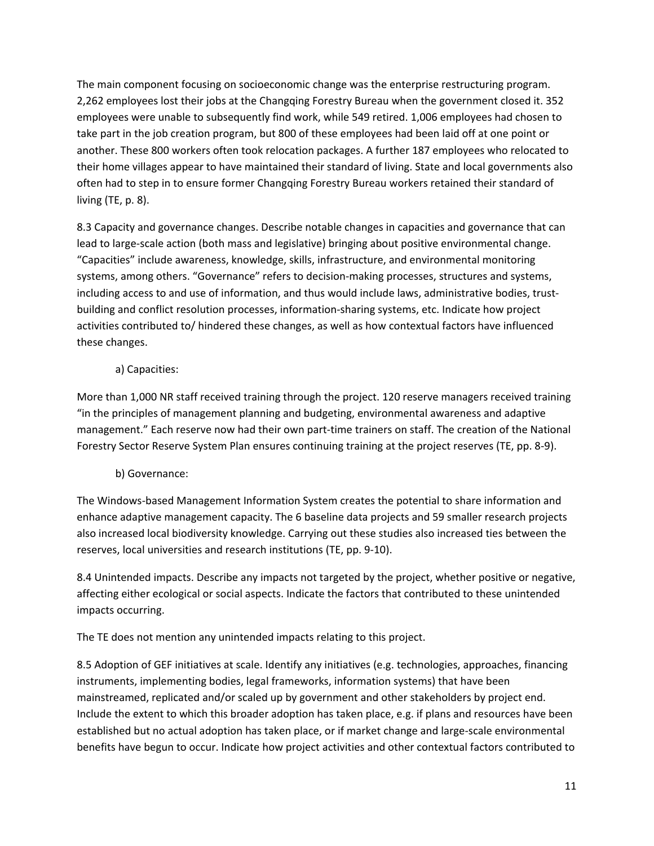The main component focusing on socioeconomic change was the enterprise restructuring program. 2,262 employees lost their jobs at the Changqing Forestry Bureau when the government closed it. 352 employees were unable to subsequently find work, while 549 retired. 1,006 employees had chosen to take part in the job creation program, but 800 of these employees had been laid off at one point or another. These 800 workers often took relocation packages. A further 187 employees who relocated to their home villages appear to have maintained their standard of living. State and local governments also often had to step in to ensure former Changqing Forestry Bureau workers retained their standard of living (TE, p. 8).

8.3 Capacity and governance changes. Describe notable changes in capacities and governance that can lead to large-scale action (both mass and legislative) bringing about positive environmental change. "Capacities" include awareness, knowledge, skills, infrastructure, and environmental monitoring systems, among others. "Governance" refers to decision-making processes, structures and systems, including access to and use of information, and thus would include laws, administrative bodies, trustbuilding and conflict resolution processes, information-sharing systems, etc. Indicate how project activities contributed to/ hindered these changes, as well as how contextual factors have influenced these changes.

### a) Capacities:

More than 1,000 NR staff received training through the project. 120 reserve managers received training "in the principles of management planning and budgeting, environmental awareness and adaptive management." Each reserve now had their own part-time trainers on staff. The creation of the National Forestry Sector Reserve System Plan ensures continuing training at the project reserves (TE, pp. 8-9).

### b) Governance:

The Windows-based Management Information System creates the potential to share information and enhance adaptive management capacity. The 6 baseline data projects and 59 smaller research projects also increased local biodiversity knowledge. Carrying out these studies also increased ties between the reserves, local universities and research institutions (TE, pp. 9-10).

8.4 Unintended impacts. Describe any impacts not targeted by the project, whether positive or negative, affecting either ecological or social aspects. Indicate the factors that contributed to these unintended impacts occurring.

The TE does not mention any unintended impacts relating to this project.

8.5 Adoption of GEF initiatives at scale. Identify any initiatives (e.g. technologies, approaches, financing instruments, implementing bodies, legal frameworks, information systems) that have been mainstreamed, replicated and/or scaled up by government and other stakeholders by project end. Include the extent to which this broader adoption has taken place, e.g. if plans and resources have been established but no actual adoption has taken place, or if market change and large-scale environmental benefits have begun to occur. Indicate how project activities and other contextual factors contributed to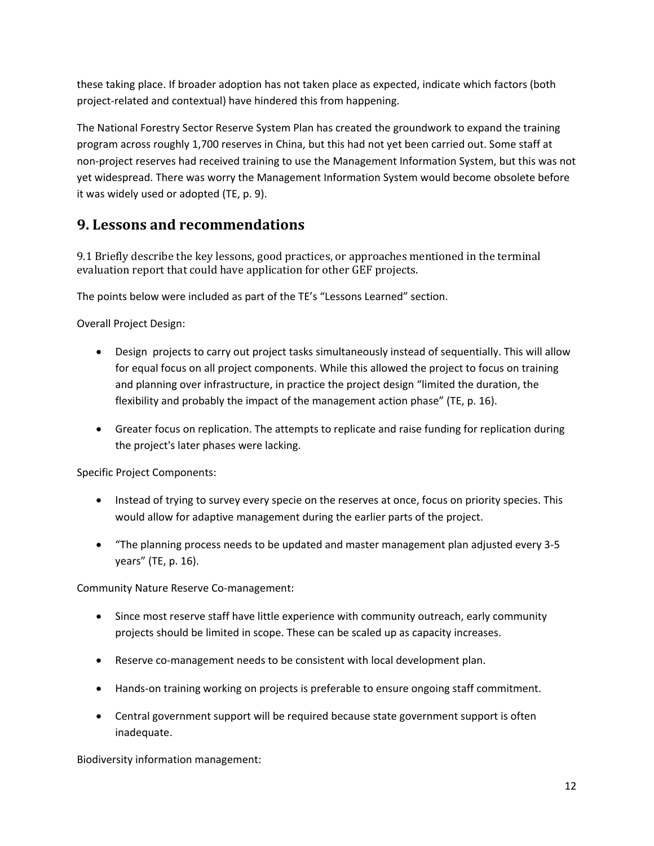these taking place. If broader adoption has not taken place as expected, indicate which factors (both project-related and contextual) have hindered this from happening.

The National Forestry Sector Reserve System Plan has created the groundwork to expand the training program across roughly 1,700 reserves in China, but this had not yet been carried out. Some staff at non-project reserves had received training to use the Management Information System, but this was not yet widespread. There was worry the Management Information System would become obsolete before it was widely used or adopted (TE, p. 9).

## **9. Lessons and recommendations**

9.1 Briefly describe the key lessons, good practices, or approaches mentioned in the terminal evaluation report that could have application for other GEF projects.

The points below were included as part of the TE's "Lessons Learned" section.

Overall Project Design:

- Design projects to carry out project tasks simultaneously instead of sequentially. This will allow for equal focus on all project components. While this allowed the project to focus on training and planning over infrastructure, in practice the project design "limited the duration, the flexibility and probably the impact of the management action phase" (TE, p. 16).
- Greater focus on replication. The attempts to replicate and raise funding for replication during the project's later phases were lacking.

Specific Project Components:

- Instead of trying to survey every specie on the reserves at once, focus on priority species. This would allow for adaptive management during the earlier parts of the project.
- "The planning process needs to be updated and master management plan adjusted every 3-5 years" (TE, p. 16).

Community Nature Reserve Co-management:

- Since most reserve staff have little experience with community outreach, early community projects should be limited in scope. These can be scaled up as capacity increases.
- Reserve co-management needs to be consistent with local development plan.
- Hands-on training working on projects is preferable to ensure ongoing staff commitment.
- Central government support will be required because state government support is often inadequate.

Biodiversity information management: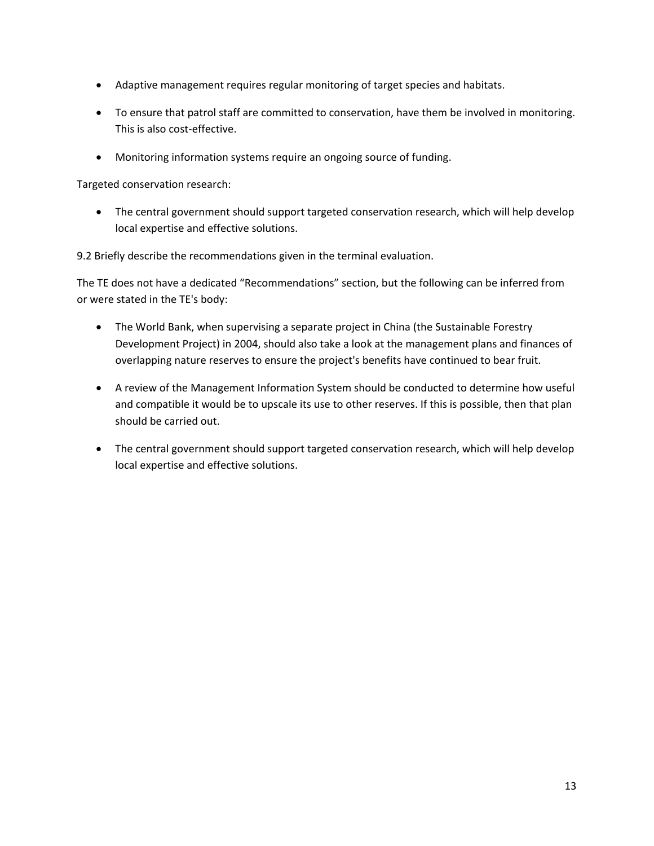- Adaptive management requires regular monitoring of target species and habitats.
- To ensure that patrol staff are committed to conservation, have them be involved in monitoring. This is also cost-effective.
- Monitoring information systems require an ongoing source of funding.

Targeted conservation research:

• The central government should support targeted conservation research, which will help develop local expertise and effective solutions.

9.2 Briefly describe the recommendations given in the terminal evaluation.

The TE does not have a dedicated "Recommendations" section, but the following can be inferred from or were stated in the TE's body:

- The World Bank, when supervising a separate project in China (the Sustainable Forestry Development Project) in 2004, should also take a look at the management plans and finances of overlapping nature reserves to ensure the project's benefits have continued to bear fruit.
- A review of the Management Information System should be conducted to determine how useful and compatible it would be to upscale its use to other reserves. If this is possible, then that plan should be carried out.
- The central government should support targeted conservation research, which will help develop local expertise and effective solutions.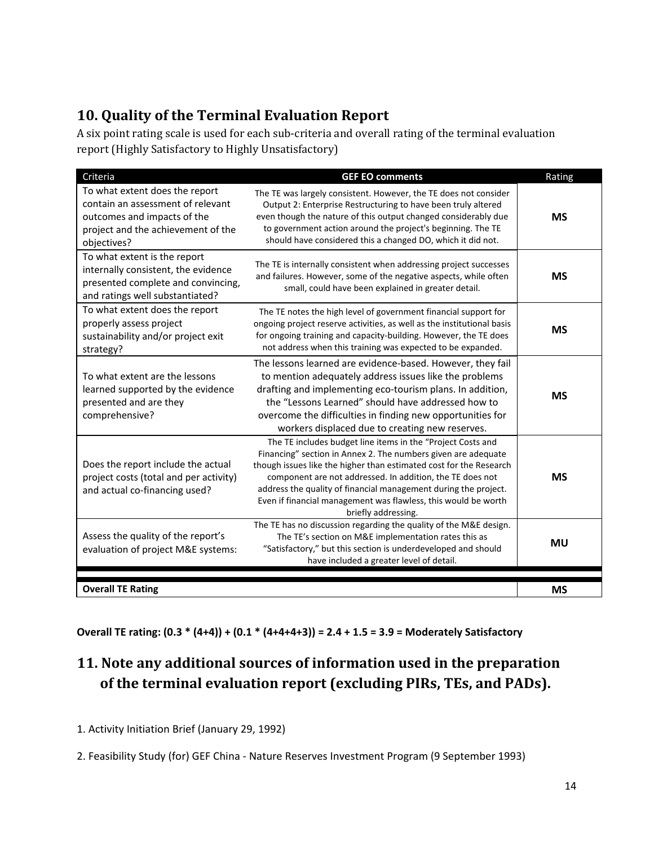## **10. Quality of the Terminal Evaluation Report**

A six point rating scale is used for each sub-criteria and overall rating of the terminal evaluation report (Highly Satisfactory to Highly Unsatisfactory)

| Criteria                                                                                                                                                | <b>GEF EO comments</b>                                                                                                                                                                                                                                                                                                                                                                                                      | Rating    |
|---------------------------------------------------------------------------------------------------------------------------------------------------------|-----------------------------------------------------------------------------------------------------------------------------------------------------------------------------------------------------------------------------------------------------------------------------------------------------------------------------------------------------------------------------------------------------------------------------|-----------|
| To what extent does the report<br>contain an assessment of relevant<br>outcomes and impacts of the<br>project and the achievement of the<br>objectives? | The TE was largely consistent. However, the TE does not consider<br>Output 2: Enterprise Restructuring to have been truly altered<br>even though the nature of this output changed considerably due<br>to government action around the project's beginning. The TE<br>should have considered this a changed DO, which it did not.                                                                                           | <b>MS</b> |
| To what extent is the report<br>internally consistent, the evidence<br>presented complete and convincing,<br>and ratings well substantiated?            | The TE is internally consistent when addressing project successes<br>and failures. However, some of the negative aspects, while often<br>small, could have been explained in greater detail.                                                                                                                                                                                                                                | <b>MS</b> |
| To what extent does the report<br>properly assess project<br>sustainability and/or project exit<br>strategy?                                            | The TE notes the high level of government financial support for<br>ongoing project reserve activities, as well as the institutional basis<br>for ongoing training and capacity-building. However, the TE does<br>not address when this training was expected to be expanded.                                                                                                                                                | <b>MS</b> |
| To what extent are the lessons<br>learned supported by the evidence<br>presented and are they<br>comprehensive?                                         | The lessons learned are evidence-based. However, they fail<br>to mention adequately address issues like the problems<br>drafting and implementing eco-tourism plans. In addition,<br>the "Lessons Learned" should have addressed how to<br>overcome the difficulties in finding new opportunities for<br>workers displaced due to creating new reserves.                                                                    | <b>MS</b> |
| Does the report include the actual<br>project costs (total and per activity)<br>and actual co-financing used?                                           | The TE includes budget line items in the "Project Costs and<br>Financing" section in Annex 2. The numbers given are adequate<br>though issues like the higher than estimated cost for the Research<br>component are not addressed. In addition, the TE does not<br>address the quality of financial management during the project.<br>Even if financial management was flawless, this would be worth<br>briefly addressing. | <b>MS</b> |
| Assess the quality of the report's<br>evaluation of project M&E systems:                                                                                | The TE has no discussion regarding the quality of the M&E design.<br>The TE's section on M&E implementation rates this as<br>"Satisfactory," but this section is underdeveloped and should<br>have included a greater level of detail.                                                                                                                                                                                      | MU        |
| <b>Overall TE Rating</b>                                                                                                                                |                                                                                                                                                                                                                                                                                                                                                                                                                             | <b>MS</b> |

**Overall TE rating: (0.3 \* (4+4)) + (0.1 \* (4+4+4+3)) = 2.4 + 1.5 = 3.9 = Moderately Satisfactory**

## **11. Note any additional sources of information used in the preparation of the terminal evaluation report (excluding PIRs, TEs, and PADs).**

1. Activity Initiation Brief (January 29, 1992)

2. Feasibility Study (for) GEF China - Nature Reserves Investment Program (9 September 1993)